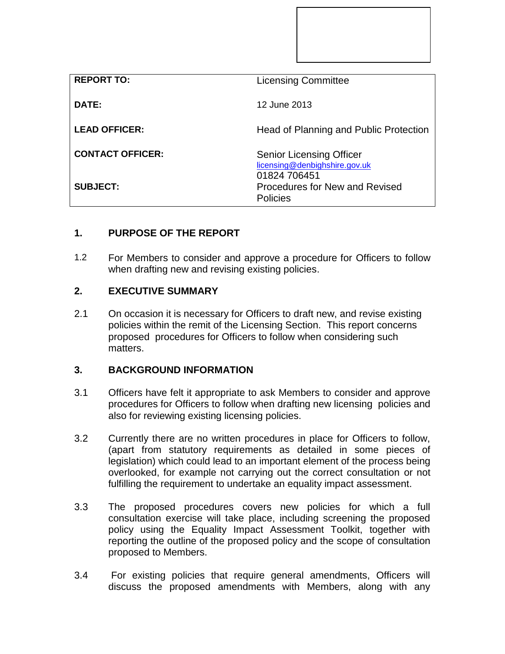| <b>REPORT TO:</b>       | <b>Licensing Committee</b>                                                       |
|-------------------------|----------------------------------------------------------------------------------|
| DATE:                   | 12 June 2013                                                                     |
| <b>LEAD OFFICER:</b>    | Head of Planning and Public Protection                                           |
| <b>CONTACT OFFICER:</b> | <b>Senior Licensing Officer</b><br>licensing@denbighshire.gov.uk<br>01824 706451 |
| <b>SUBJECT:</b>         | Procedures for New and Revised<br><b>Policies</b>                                |

## **1. PURPOSE OF THE REPORT**

1.2 For Members to consider and approve a procedure for Officers to follow when drafting new and revising existing policies.

## **2. EXECUTIVE SUMMARY**

2.1 On occasion it is necessary for Officers to draft new, and revise existing policies within the remit of the Licensing Section. This report concerns proposed procedures for Officers to follow when considering such matters.

## **3. BACKGROUND INFORMATION**

- 3.1 Officers have felt it appropriate to ask Members to consider and approve procedures for Officers to follow when drafting new licensing policies and also for reviewing existing licensing policies.
- 3.2 Currently there are no written procedures in place for Officers to follow, (apart from statutory requirements as detailed in some pieces of legislation) which could lead to an important element of the process being overlooked, for example not carrying out the correct consultation or not fulfilling the requirement to undertake an equality impact assessment.
- 3.3 The proposed procedures covers new policies for which a full consultation exercise will take place, including screening the proposed policy using the Equality Impact Assessment Toolkit, together with reporting the outline of the proposed policy and the scope of consultation proposed to Members.
- 3.4 For existing policies that require general amendments, Officers will discuss the proposed amendments with Members, along with any